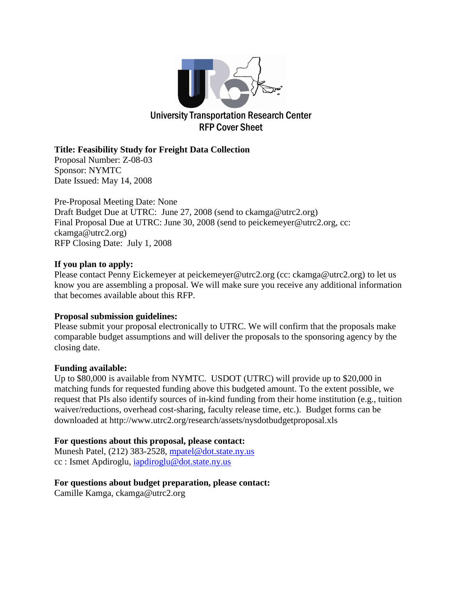

### **Title: Feasibility Study for Freight Data Collection**

Proposal Number: Z-08-03 Sponsor: NYMTC Date Issued: May 14, 2008

Pre-Proposal Meeting Date: None Draft Budget Due at UTRC: June 27, 2008 (send to ckamga@utrc2.org) Final Proposal Due at UTRC: June 30, 2008 (send to peickemeyer@utrc2.org, cc: ckamga@utrc2.org) RFP Closing Date: July 1, 2008

### **If you plan to apply:**

Please contact Penny Eickemeyer at peickemeyer@utrc2.org (cc: ckamga@utrc2.org) to let us know you are assembling a proposal. We will make sure you receive any additional information that becomes available about this RFP.

### **Proposal submission guidelines:**

Please submit your proposal electronically to UTRC. We will confirm that the proposals make comparable budget assumptions and will deliver the proposals to the sponsoring agency by the closing date.

### **Funding available:**

Up to \$80,000 is available from NYMTC. USDOT (UTRC) will provide up to \$20,000 in matching funds for requested funding above this budgeted amount. To the extent possible, we request that PIs also identify sources of in-kind funding from their home institution (e.g., tuition waiver/reductions, overhead cost-sharing, faculty release time, etc.). Budget forms can be downloaded at http://www.utrc2.org/research/assets/nysdotbudgetproposal.xls

### **For questions about this proposal, please contact:**

Munesh Patel, (212) 383-2528, [mpatel@dot.state.ny.us](mailto:smamone@dot.state.ny.us) cc : Ismet Apdiroglu, [iapdiroglu@dot.state.ny.us](mailto:iapdiroglu@dot.state.ny.us)

### **For questions about budget preparation, please contact:**

Camille Kamga, ckamga@utrc2.org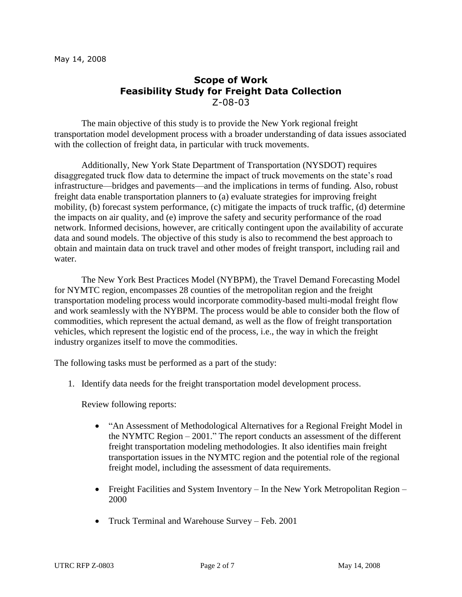# **Scope of Work Feasibility Study for Freight Data Collection** Z-08-03

The main objective of this study is to provide the New York regional freight transportation model development process with a broader understanding of data issues associated with the collection of freight data, in particular with truck movements.

Additionally, New York State Department of Transportation (NYSDOT) requires disaggregated truck flow data to determine the impact of truck movements on the state's road infrastructure—bridges and pavements—and the implications in terms of funding. Also, robust freight data enable transportation planners to (a) evaluate strategies for improving freight mobility, (b) forecast system performance, (c) mitigate the impacts of truck traffic, (d) determine the impacts on air quality, and (e) improve the safety and security performance of the road network. Informed decisions, however, are critically contingent upon the availability of accurate data and sound models. The objective of this study is also to recommend the best approach to obtain and maintain data on truck travel and other modes of freight transport, including rail and water.

The New York Best Practices Model (NYBPM), the Travel Demand Forecasting Model for NYMTC region, encompasses 28 counties of the metropolitan region and the freight transportation modeling process would incorporate commodity-based multi-modal freight flow and work seamlessly with the NYBPM. The process would be able to consider both the flow of commodities, which represent the actual demand, as well as the flow of freight transportation vehicles, which represent the logistic end of the process, i.e., the way in which the freight industry organizes itself to move the commodities.

The following tasks must be performed as a part of the study:

1. Identify data needs for the freight transportation model development process.

Review following reports:

- "An Assessment of Methodological Alternatives for a Regional Freight Model in the NYMTC Region – 2001." The report conducts an assessment of the different freight transportation modeling methodologies. It also identifies main freight transportation issues in the NYMTC region and the potential role of the regional freight model, including the assessment of data requirements.
- Freight Facilities and System Inventory In the New York Metropolitan Region 2000
- Truck Terminal and Warehouse Survey Feb. 2001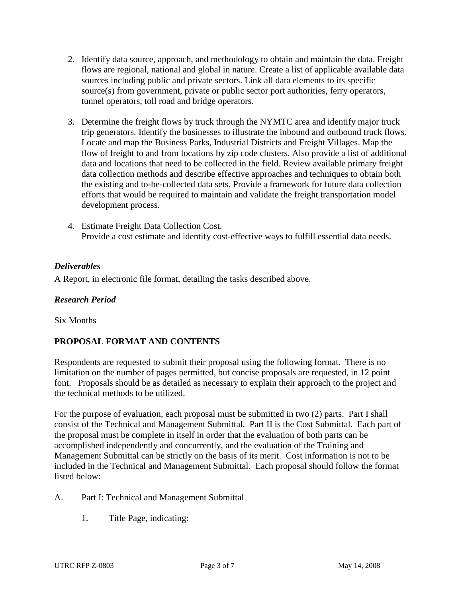- 2. Identify data source, approach, and methodology to obtain and maintain the data. Freight flows are regional, national and global in nature. Create a list of applicable available data sources including public and private sectors. Link all data elements to its specific source(s) from government, private or public sector port authorities, ferry operators, tunnel operators, toll road and bridge operators.
- 3. Determine the freight flows by truck through the NYMTC area and identify major truck trip generators. Identify the businesses to illustrate the inbound and outbound truck flows. Locate and map the Business Parks, Industrial Districts and Freight Villages. Map the flow of freight to and from locations by zip code clusters. Also provide a list of additional data and locations that need to be collected in the field. Review available primary freight data collection methods and describe effective approaches and techniques to obtain both the existing and to-be-collected data sets. Provide a framework for future data collection efforts that would be required to maintain and validate the freight transportation model development process.
- 4. Estimate Freight Data Collection Cost. Provide a cost estimate and identify cost-effective ways to fulfill essential data needs.

## *Deliverables*

A Report, in electronic file format, detailing the tasks described above.

#### *Research Period*

Six Months

### **PROPOSAL FORMAT AND CONTENTS**

Respondents are requested to submit their proposal using the following format. There is no limitation on the number of pages permitted, but concise proposals are requested, in 12 point font. Proposals should be as detailed as necessary to explain their approach to the project and the technical methods to be utilized.

For the purpose of evaluation, each proposal must be submitted in two (2) parts. Part I shall consist of the Technical and Management Submittal. Part II is the Cost Submittal. Each part of the proposal must be complete in itself in order that the evaluation of both parts can be accomplished independently and concurrently, and the evaluation of the Training and Management Submittal can be strictly on the basis of its merit. Cost information is not to be included in the Technical and Management Submittal. Each proposal should follow the format listed below:

#### A. Part I: Technical and Management Submittal

1. Title Page, indicating: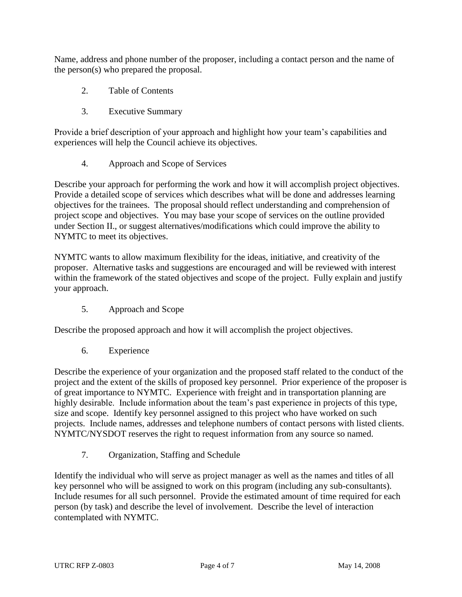Name, address and phone number of the proposer, including a contact person and the name of the person(s) who prepared the proposal.

- 2. Table of Contents
- 3. Executive Summary

Provide a brief description of your approach and highlight how your team's capabilities and experiences will help the Council achieve its objectives.

4. Approach and Scope of Services

Describe your approach for performing the work and how it will accomplish project objectives. Provide a detailed scope of services which describes what will be done and addresses learning objectives for the trainees. The proposal should reflect understanding and comprehension of project scope and objectives. You may base your scope of services on the outline provided under Section II., or suggest alternatives/modifications which could improve the ability to NYMTC to meet its objectives.

NYMTC wants to allow maximum flexibility for the ideas, initiative, and creativity of the proposer. Alternative tasks and suggestions are encouraged and will be reviewed with interest within the framework of the stated objectives and scope of the project. Fully explain and justify your approach.

5. Approach and Scope

Describe the proposed approach and how it will accomplish the project objectives.

6. Experience

Describe the experience of your organization and the proposed staff related to the conduct of the project and the extent of the skills of proposed key personnel. Prior experience of the proposer is of great importance to NYMTC. Experience with freight and in transportation planning are highly desirable. Include information about the team's past experience in projects of this type, size and scope. Identify key personnel assigned to this project who have worked on such projects. Include names, addresses and telephone numbers of contact persons with listed clients. NYMTC/NYSDOT reserves the right to request information from any source so named.

7. Organization, Staffing and Schedule

Identify the individual who will serve as project manager as well as the names and titles of all key personnel who will be assigned to work on this program (including any sub-consultants). Include resumes for all such personnel. Provide the estimated amount of time required for each person (by task) and describe the level of involvement. Describe the level of interaction contemplated with NYMTC.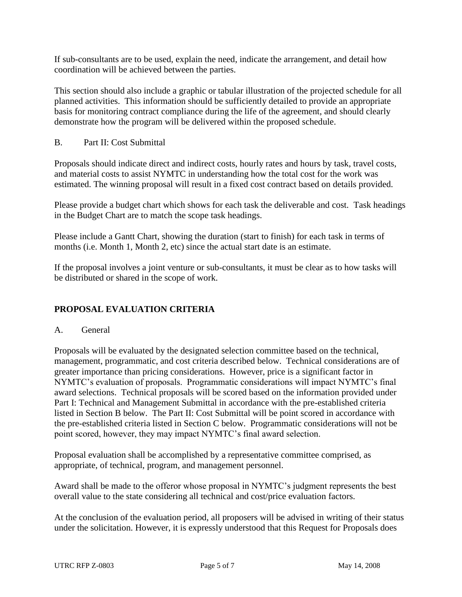If sub-consultants are to be used, explain the need, indicate the arrangement, and detail how coordination will be achieved between the parties.

This section should also include a graphic or tabular illustration of the projected schedule for all planned activities. This information should be sufficiently detailed to provide an appropriate basis for monitoring contract compliance during the life of the agreement, and should clearly demonstrate how the program will be delivered within the proposed schedule.

B. Part II: Cost Submittal

Proposals should indicate direct and indirect costs, hourly rates and hours by task, travel costs, and material costs to assist NYMTC in understanding how the total cost for the work was estimated. The winning proposal will result in a fixed cost contract based on details provided.

Please provide a budget chart which shows for each task the deliverable and cost. Task headings in the Budget Chart are to match the scope task headings.

Please include a Gantt Chart, showing the duration (start to finish) for each task in terms of months (i.e. Month 1, Month 2, etc) since the actual start date is an estimate.

If the proposal involves a joint venture or sub-consultants, it must be clear as to how tasks will be distributed or shared in the scope of work.

## **PROPOSAL EVALUATION CRITERIA**

#### A. General

Proposals will be evaluated by the designated selection committee based on the technical, management, programmatic, and cost criteria described below. Technical considerations are of greater importance than pricing considerations. However, price is a significant factor in NYMTC's evaluation of proposals. Programmatic considerations will impact NYMTC's final award selections. Technical proposals will be scored based on the information provided under Part I: Technical and Management Submittal in accordance with the pre-established criteria listed in Section B below. The Part II: Cost Submittal will be point scored in accordance with the pre-established criteria listed in Section C below. Programmatic considerations will not be point scored, however, they may impact NYMTC's final award selection.

Proposal evaluation shall be accomplished by a representative committee comprised, as appropriate, of technical, program, and management personnel.

Award shall be made to the offeror whose proposal in NYMTC's judgment represents the best overall value to the state considering all technical and cost/price evaluation factors.

At the conclusion of the evaluation period, all proposers will be advised in writing of their status under the solicitation. However, it is expressly understood that this Request for Proposals does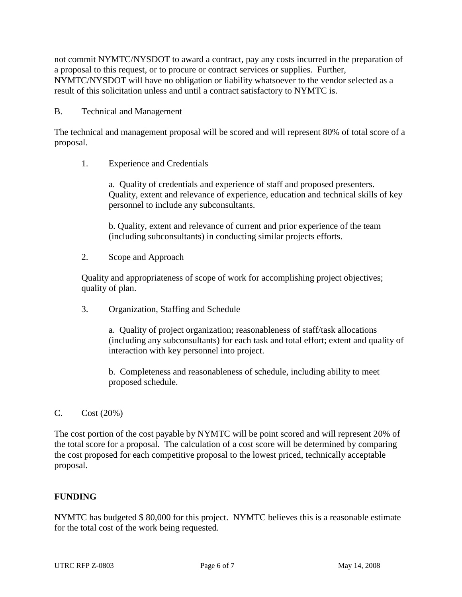not commit NYMTC/NYSDOT to award a contract, pay any costs incurred in the preparation of a proposal to this request, or to procure or contract services or supplies. Further, NYMTC/NYSDOT will have no obligation or liability whatsoever to the vendor selected as a result of this solicitation unless and until a contract satisfactory to NYMTC is.

#### B. Technical and Management

The technical and management proposal will be scored and will represent 80% of total score of a proposal.

1. Experience and Credentials

a. Quality of credentials and experience of staff and proposed presenters. Quality, extent and relevance of experience, education and technical skills of key personnel to include any subconsultants.

b. Quality, extent and relevance of current and prior experience of the team (including subconsultants) in conducting similar projects efforts.

2. Scope and Approach

Quality and appropriateness of scope of work for accomplishing project objectives; quality of plan.

3. Organization, Staffing and Schedule

a. Quality of project organization; reasonableness of staff/task allocations (including any subconsultants) for each task and total effort; extent and quality of interaction with key personnel into project.

b. Completeness and reasonableness of schedule, including ability to meet proposed schedule.

### $C.$   $Cost (20%)$

The cost portion of the cost payable by NYMTC will be point scored and will represent 20% of the total score for a proposal. The calculation of a cost score will be determined by comparing the cost proposed for each competitive proposal to the lowest priced, technically acceptable proposal.

### **FUNDING**

NYMTC has budgeted \$ 80,000 for this project. NYMTC believes this is a reasonable estimate for the total cost of the work being requested.